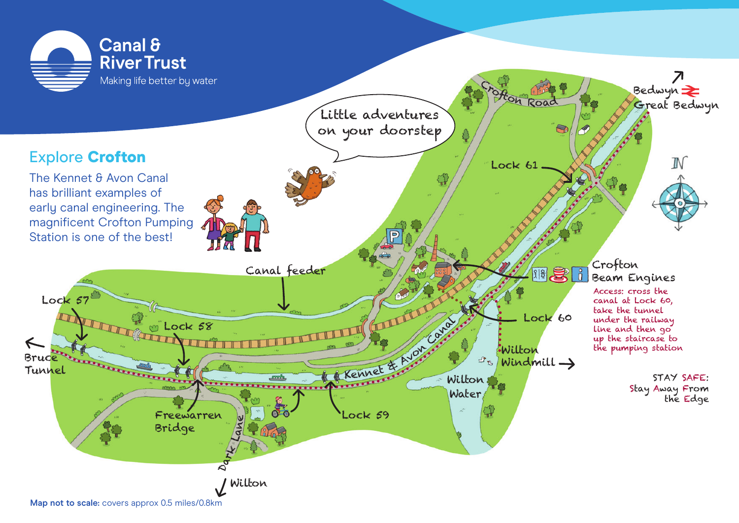